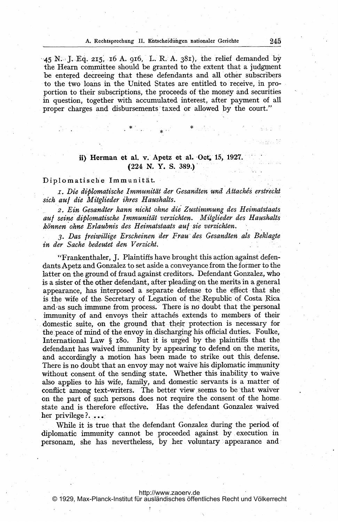$-45$  N. J. Eq. 215, 16 A. 916, L. R. A. 381), the relief demanded by the Hearn committee should be granted to the extent that a judgment be entered decreeing that these defendants and all other subscribers to the two loans in the United States are entitled to receive, in proportion to their subscriptions, the proceeds of the money and securities in question, together with accumulated interest, after payment of all proper charges and disbursements taxed or allowed by the court."

## ii) Herman et al. v. Apetz et al.  $Oct. 15, 1927.$ (224 N. Y. S. 389.)'

## Diplomatische Immunität.

r. Die diplomatisChe Immunitat der Gesandten und Attachis erstyeckt sich auf die Mitglieder ihres Haushalts.

2. Ein Gesandter kann nicht ohne die'Zustimmung des Heimatstaats auf seine diplomatische Immunität verzichten. Mitglieder des Haushalts können ohne Erlaubnis des Heimatstaats auf sie verzichten.

3. Das freiwillige Erscheinen der Frauz des Gesandten als Beklagte in der Sache bedeutet den Verzicht.

"Frankenthaler, J. Plaintiffs have brought this action against defendants Apetz and Gonzalez to set aside a conveyance from the former to the latter on the ground of fraud against creditors. Defendant Gonzalez, who is a sister of the other defendant, after pleading on the merits in a general appearance, has interposed a separate defense to the effect that she is the wife of the Secretary of Legation of the Republic of Costa Rica and as such immune from process. There is no doubt that the personal immunity of and envoys their attachés extends to members of their domestic suite, on the ground that their protection is necessary for the peace of mind of the envoy in discharging his official duties. Foulke, International Law  $\S$  180. But it is urged by the plaintiffs that the defendant has waived immunity by appearing to defend on the merits, and accordingly a motion has been made to strike out this defense. defendant has waived immunity by appearing to defend on the merits,<br>and accordingly a motion has been made to strike out this defense.<br>There is no doubt that an envoy may not waive his diplomatic immunity without consent of the sending state. Whether this inability to waive also applies to his wife, family, and domestic servants is a matter of conflict among text-writers. The better view seems to be that waiver on the part of such persons does not require the consent of the home, state and is therefore effective. Has the defendant Gonzalez waived her privilege?....

While it is true that the defendant Gonzalez during the period of diplomatic immunity cannot be proceeded against by execution in personam, she has nevertheless, by her voluntary: appearance and

## <http://www.zaoerv.de>

© 1929, Max-Planck-Institut für ausländisches öffentliches Recht und Völkerrecht